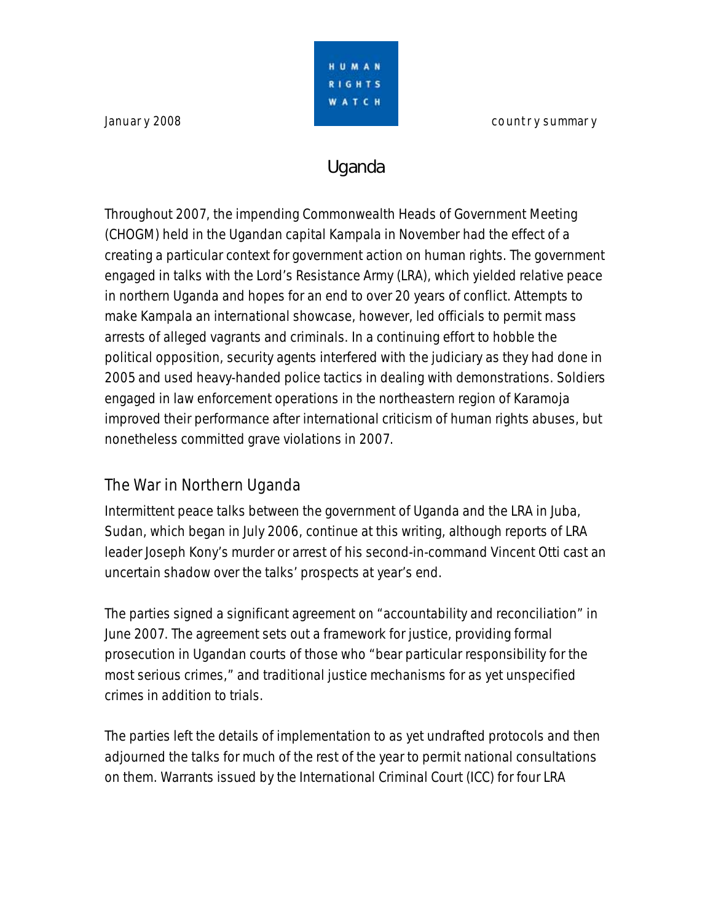**January 2008 country summary** 



# **Uganda**

Throughout 2007, the impending Commonwealth Heads of Government Meeting (CHOGM) held in the Ugandan capital Kampala in November had the effect of a creating a particular context for government action on human rights. The government engaged in talks with the Lord's Resistance Army (LRA), which yielded relative peace in northern Uganda and hopes for an end to over 20 years of conflict. Attempts to make Kampala an international showcase, however, led officials to permit mass arrests of alleged vagrants and criminals. In a continuing effort to hobble the political opposition, security agents interfered with the judiciary as they had done in 2005 and used heavy-handed police tactics in dealing with demonstrations. Soldiers engaged in law enforcement operations in the northeastern region of Karamoja improved their performance after international criticism of human rights abuses, but nonetheless committed grave violations in 2007.

## The War in Northern Uganda

Intermittent peace talks between the government of Uganda and the LRA in Juba, Sudan, which began in July 2006, continue at this writing, although reports of LRA leader Joseph Kony's murder or arrest of his second-in-command Vincent Otti cast an uncertain shadow over the talks' prospects at year's end.

The parties signed a significant agreement on "accountability and reconciliation" in June 2007. The agreement sets out a framework for justice, providing formal prosecution in Ugandan courts of those who "bear particular responsibility for the most serious crimes," and traditional justice mechanisms for as yet unspecified crimes in addition to trials.

The parties left the details of implementation to as yet undrafted protocols and then adjourned the talks for much of the rest of the year to permit national consultations on them. Warrants issued by the International Criminal Court (ICC) for four LRA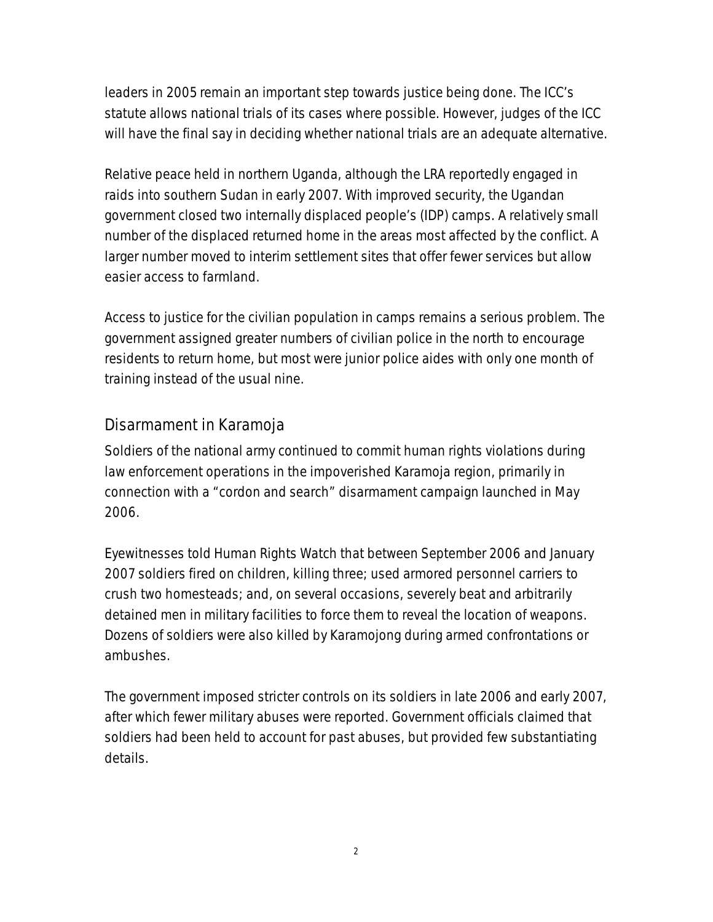leaders in 2005 remain an important step towards justice being done. The ICC's statute allows national trials of its cases where possible. However, judges of the ICC will have the final say in deciding whether national trials are an adequate alternative.

Relative peace held in northern Uganda, although the LRA reportedly engaged in raids into southern Sudan in early 2007. With improved security, the Ugandan government closed two internally displaced people's (IDP) camps. A relatively small number of the displaced returned home in the areas most affected by the conflict. A larger number moved to interim settlement sites that offer fewer services but allow easier access to farmland.

Access to justice for the civilian population in camps remains a serious problem. The government assigned greater numbers of civilian police in the north to encourage residents to return home, but most were junior police aides with only one month of training instead of the usual nine.

#### Disarmament in Karamoja

Soldiers of the national army continued to commit human rights violations during law enforcement operations in the impoverished Karamoja region, primarily in connection with a "cordon and search" disarmament campaign launched in May 2006.

Eyewitnesses told Human Rights Watch that between September 2006 and January 2007 soldiers fired on children, killing three; used armored personnel carriers to crush two homesteads; and, on several occasions, severely beat and arbitrarily detained men in military facilities to force them to reveal the location of weapons. Dozens of soldiers were also killed by Karamojong during armed confrontations or ambushes.

The government imposed stricter controls on its soldiers in late 2006 and early 2007, after which fewer military abuses were reported. Government officials claimed that soldiers had been held to account for past abuses, but provided few substantiating details.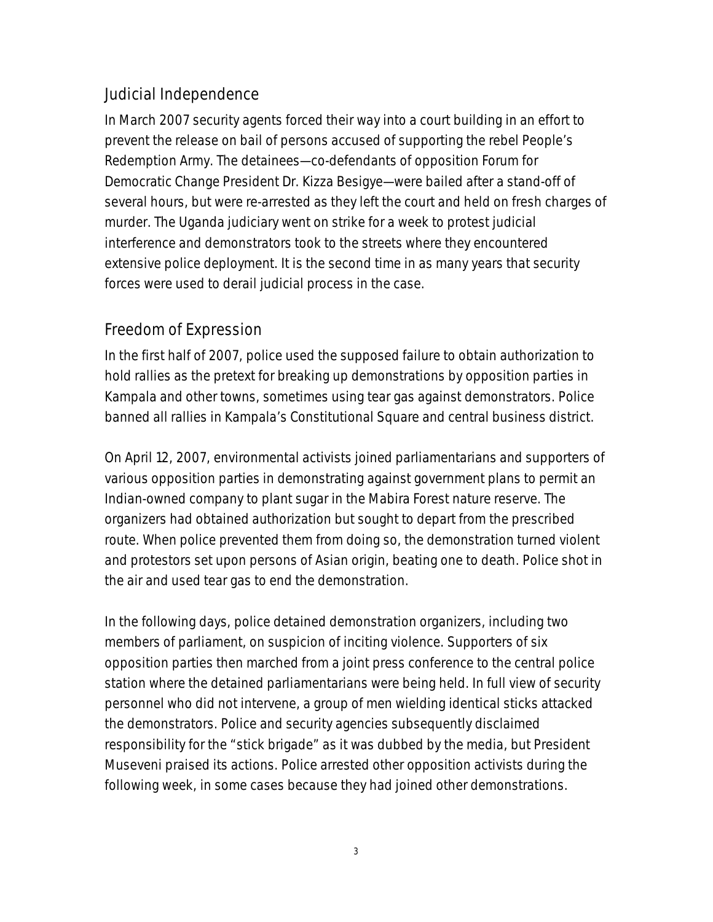#### Judicial Independence

In March 2007 security agents forced their way into a court building in an effort to prevent the release on bail of persons accused of supporting the rebel People's Redemption Army. The detainees—co-defendants of opposition Forum for Democratic Change President Dr. Kizza Besigye—were bailed after a stand-off of several hours, but were re-arrested as they left the court and held on fresh charges of murder. The Uganda judiciary went on strike for a week to protest judicial interference and demonstrators took to the streets where they encountered extensive police deployment. It is the second time in as many years that security forces were used to derail judicial process in the case.

#### Freedom of Expression

In the first half of 2007, police used the supposed failure to obtain authorization to hold rallies as the pretext for breaking up demonstrations by opposition parties in Kampala and other towns, sometimes using tear gas against demonstrators. Police banned all rallies in Kampala's Constitutional Square and central business district.

On April 12, 2007, environmental activists joined parliamentarians and supporters of various opposition parties in demonstrating against government plans to permit an Indian-owned company to plant sugar in the Mabira Forest nature reserve. The organizers had obtained authorization but sought to depart from the prescribed route. When police prevented them from doing so, the demonstration turned violent and protestors set upon persons of Asian origin, beating one to death. Police shot in the air and used tear gas to end the demonstration.

In the following days, police detained demonstration organizers, including two members of parliament, on suspicion of inciting violence. Supporters of six opposition parties then marched from a joint press conference to the central police station where the detained parliamentarians were being held. In full view of security personnel who did not intervene, a group of men wielding identical sticks attacked the demonstrators. Police and security agencies subsequently disclaimed responsibility for the "stick brigade" as it was dubbed by the media, but President Museveni praised its actions. Police arrested other opposition activists during the following week, in some cases because they had joined other demonstrations.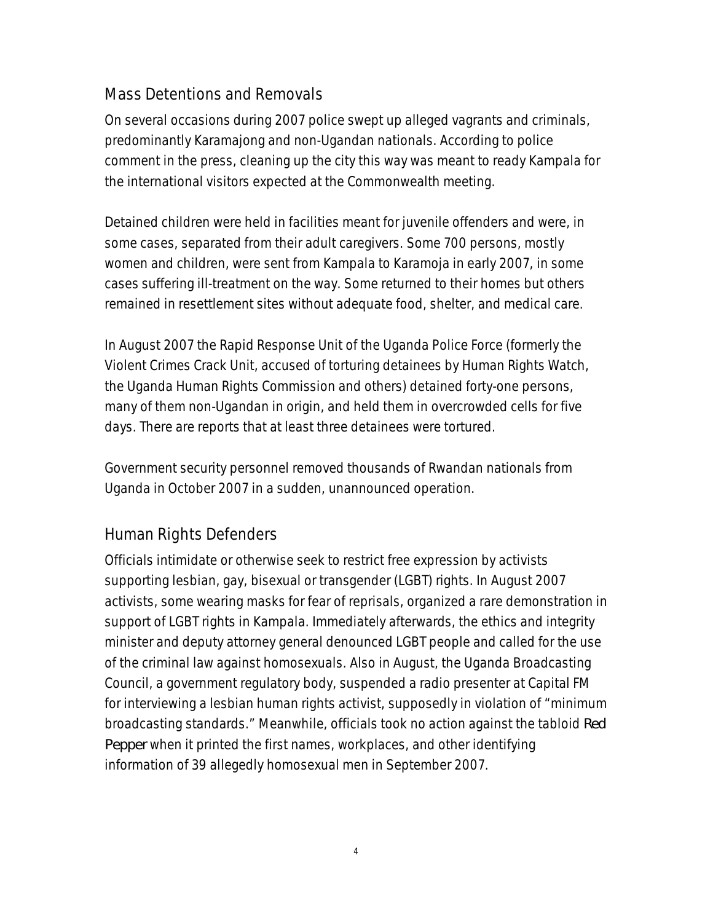### Mass Detentions and Removals

On several occasions during 2007 police swept up alleged vagrants and criminals, predominantly Karamajong and non-Ugandan nationals. According to police comment in the press, cleaning up the city this way was meant to ready Kampala for the international visitors expected at the Commonwealth meeting.

Detained children were held in facilities meant for juvenile offenders and were, in some cases, separated from their adult caregivers. Some 700 persons, mostly women and children, were sent from Kampala to Karamoja in early 2007, in some cases suffering ill-treatment on the way. Some returned to their homes but others remained in resettlement sites without adequate food, shelter, and medical care.

In August 2007 the Rapid Response Unit of the Uganda Police Force (formerly the Violent Crimes Crack Unit, accused of torturing detainees by Human Rights Watch, the Uganda Human Rights Commission and others) detained forty-one persons, many of them non-Ugandan in origin, and held them in overcrowded cells for five days. There are reports that at least three detainees were tortured.

Government security personnel removed thousands of Rwandan nationals from Uganda in October 2007 in a sudden, unannounced operation.

### Human Rights Defenders

Officials intimidate or otherwise seek to restrict free expression by activists supporting lesbian, gay, bisexual or transgender (LGBT) rights. In August 2007 activists, some wearing masks for fear of reprisals, organized a rare demonstration in support of LGBT rights in Kampala. Immediately afterwards, the ethics and integrity minister and deputy attorney general denounced LGBT people and called for the use of the criminal law against homosexuals. Also in August, the Uganda Broadcasting Council, a government regulatory body, suspended a radio presenter at Capital FM for interviewing a lesbian human rights activist, supposedly in violation of "minimum broadcasting standards." Meanwhile, officials took no action against the tabloid *Red Pepper* when it printed the first names, workplaces, and other identifying information of 39 allegedly homosexual men in September 2007.